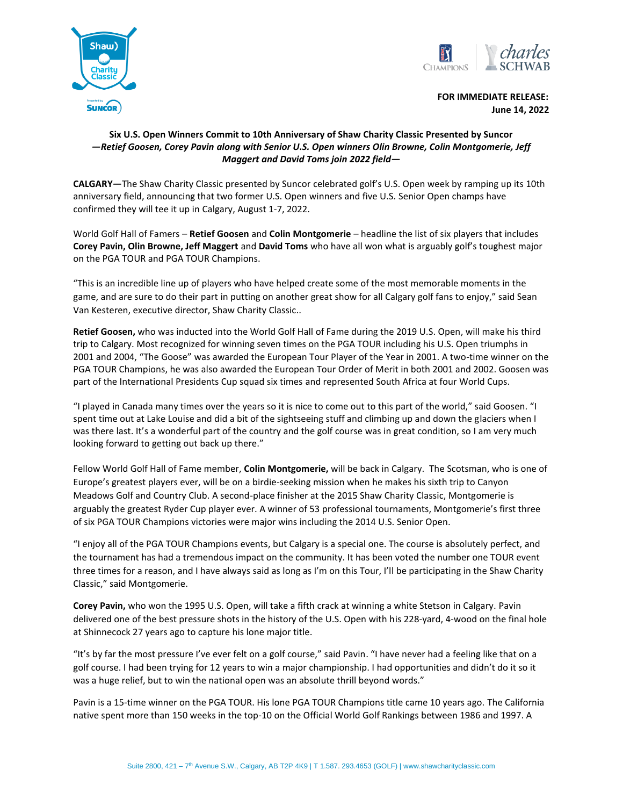



 **FOR IMMEDIATE RELEASE: June 14, 2022**

## **Six U.S. Open Winners Commit to 10th Anniversary of Shaw Charity Classic Presented by Suncor** *—Retief Goosen, Corey Pavin along with Senior U.S. Open winners Olin Browne, Colin Montgomerie, Jeff Maggert and David Toms join 2022 field—*

**CALGARY—**The Shaw Charity Classic presented by Suncor celebrated golf's U.S. Open week by ramping up its 10th anniversary field, announcing that two former U.S. Open winners and five U.S. Senior Open champs have confirmed they will tee it up in Calgary, August 1-7, 2022.

World Golf Hall of Famers – **Retief Goosen** and **Colin Montgomerie** – headline the list of six players that includes **Corey Pavin, Olin Browne, Jeff Maggert** and **David Toms** who have all won what is arguably golf's toughest major on the PGA TOUR and PGA TOUR Champions.

"This is an incredible line up of players who have helped create some of the most memorable moments in the game, and are sure to do their part in putting on another great show for all Calgary golf fans to enjoy," said Sean Van Kesteren, executive director, Shaw Charity Classic..

**Retief Goosen,** who was inducted into the World Golf Hall of Fame during the 2019 U.S. Open, will make his third trip to Calgary. Most recognized for winning seven times on the PGA TOUR including his U.S. Open triumphs in 2001 and 2004, "The Goose" was awarded the European Tour Player of the Year in 2001. A two-time winner on the PGA TOUR Champions, he was also awarded the European Tour Order of Merit in both 2001 and 2002. Goosen was part of the International Presidents Cup squad six times and represented South Africa at four World Cups.

"I played in Canada many times over the years so it is nice to come out to this part of the world," said Goosen. "I spent time out at Lake Louise and did a bit of the sightseeing stuff and climbing up and down the glaciers when I was there last. It's a wonderful part of the country and the golf course was in great condition, so I am very much looking forward to getting out back up there."

Fellow World Golf Hall of Fame member, **Colin Montgomerie,** will be back in Calgary. The Scotsman, who is one of Europe's greatest players ever, will be on a birdie-seeking mission when he makes his sixth trip to Canyon Meadows Golf and Country Club. A second-place finisher at the 2015 Shaw Charity Classic, Montgomerie is arguably the greatest Ryder Cup player ever. A winner of 53 professional tournaments, Montgomerie's first three of six PGA TOUR Champions victories were major wins including the 2014 U.S. Senior Open.

"I enjoy all of the PGA TOUR Champions events, but Calgary is a special one. The course is absolutely perfect, and the tournament has had a tremendous impact on the community. It has been voted the number one TOUR event three times for a reason, and I have always said as long as I'm on this Tour, I'll be participating in the Shaw Charity Classic," said Montgomerie.

**Corey Pavin,** who won the 1995 U.S. Open, will take a fifth crack at winning a white Stetson in Calgary. Pavin delivered one of the best pressure shots in the history of the U.S. Open with his 228-yard, 4-wood on the final hole at Shinnecock 27 years ago to capture his lone major title.

"It's by far the most pressure I've ever felt on a golf course," said Pavin. "I have never had a feeling like that on a golf course. I had been trying for 12 years to win a major championship. I had opportunities and didn't do it so it was a huge relief, but to win the national open was an absolute thrill beyond words."

Pavin is a 15-time winner on the PGA TOUR. His lone PGA TOUR Champions title came 10 years ago. The California native spent more than 150 weeks in the top-10 on the Official World Golf Rankings between 1986 and 1997. A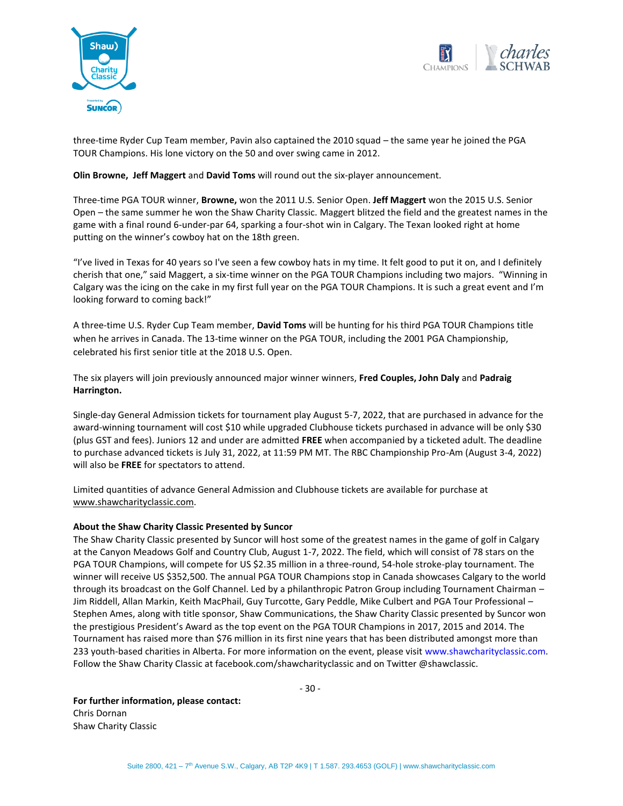



three-time Ryder Cup Team member, Pavin also captained the 2010 squad – the same year he joined the PGA TOUR Champions. His lone victory on the 50 and over swing came in 2012.

## **Olin Browne, Jeff Maggert** and **David Toms** will round out the six-player announcement.

Three-time PGA TOUR winner, **Browne,** won the 2011 U.S. Senior Open. **Jeff Maggert** won the 2015 U.S. Senior Open – the same summer he won the Shaw Charity Classic. Maggert blitzed the field and the greatest names in the game with a final round 6-under-par 64, sparking a four-shot win in Calgary. The Texan looked right at home putting on the winner's cowboy hat on the 18th green.

"I've lived in Texas for 40 years so I've seen a few cowboy hats in my time. It felt good to put it on, and I definitely cherish that one," said Maggert, a six-time winner on the PGA TOUR Champions including two majors. "Winning in Calgary was the icing on the cake in my first full year on the PGA TOUR Champions. It is such a great event and I'm looking forward to coming back!"

A three-time U.S. Ryder Cup Team member, **David Toms** will be hunting for his third PGA TOUR Champions title when he arrives in Canada. The 13-time winner on the PGA TOUR, including the 2001 PGA Championship, celebrated his first senior title at the 2018 U.S. Open.

The six players will join previously announced major winner winners, **Fred Couples, John Daly** and **Padraig Harrington.**

Single-day General Admission tickets for tournament play August 5-7, 2022, that are purchased in advance for the award-winning tournament will cost \$10 while upgraded Clubhouse tickets purchased in advance will be only \$30 (plus GST and fees). Juniors 12 and under are admitted **FREE** when accompanied by a ticketed adult. The deadline to purchase advanced tickets is July 31, 2022, at 11:59 PM MT. The RBC Championship Pro-Am (August 3-4, 2022) will also be **FREE** for spectators to attend.

Limited quantities of advance General Admission and Clubhouse tickets are available for purchase at [www.shawcharityclassic.com.](http://www.shawcharityclassic.com/)

## **About the Shaw Charity Classic Presented by Suncor**

The Shaw Charity Classic presented by Suncor will host some of the greatest names in the game of golf in Calgary at the Canyon Meadows Golf and Country Club, August 1-7, 2022. The field, which will consist of 78 stars on the PGA TOUR Champions, will compete for US \$2.35 million in a three-round, 54-hole stroke-play tournament. The winner will receive US \$352,500. The annual PGA TOUR Champions stop in Canada showcases Calgary to the world through its broadcast on the Golf Channel. Led by a philanthropic Patron Group including Tournament Chairman – Jim Riddell, Allan Markin, Keith MacPhail, Guy Turcotte, Gary Peddle, Mike Culbert and PGA Tour Professional – Stephen Ames, along with title sponsor, Shaw Communications, the Shaw Charity Classic presented by Suncor won the prestigious President's Award as the top event on the PGA TOUR Champions in 2017, 2015 and 2014. The Tournament has raised more than \$76 million in its first nine years that has been distributed amongst more than 233 youth-based charities in Alberta. For more information on the event, please visit www.shawcharityclassic.com. Follow the Shaw Charity Classic at facebook.com/shawcharityclassic and on Twitter @shawclassic.

- 30 -

**For further information, please contact:** Chris Dornan Shaw Charity Classic